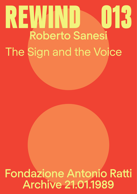# Roberto Sanesi The Sign and the Voice REWIND SOF

Fondazione Antonio Ratti Archive 21.01.1989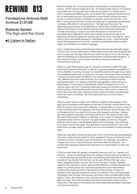# Fondazione Antonio Ratti Archive 21.01.89

Roberto Sanesi The Sign and the Voice

# $\blacktriangleleft$ ) [Listen in](https://soundcloud.com/user-570865754-171091794/rewind-013-roberto-sanesi-il-segno-e-la-voce/s-q0jh8ioaMtq) Italian

**REWIND 013** *Roberto Sanesi:* So, it is not very easy to summarize in a real and proper<br>a possible one. The request was to talk about myself, in a certain sense. lesson - which I always hope not to do - the speech that came to my mind as a possible one. The request was to talk about myself, in a certain sense, which is extremely flattering and, I must admit, also extremely embarrassing. So, to avoid reducing the conversation to a kind of self-criticism or, even worse, to a kind of public confession or analysis, we chose the title - and then I must say that this title chosen two days ago is obsessing me because it creates difficulties for me every time - *The Sign and the Voice*. The difficulties are precisely in the definition or clarification of these two terms. Without thinking too much about it, the two terms intuitively seemed to convey many topics, trying to vary from literature to visual arts and translation as an attempt to intuit what actually connects the sign to its meaning, sometimes apparent, and the sign to the voice. The latter is - and I still try not to rationalize because if I rationalize too much, I miss the subtle sense that appeared to me at first - something we should really consider when we translate from another language.

> Now, I realize that I have made several statements that are still quite vague. I'll start over, to try to define them a little better and to see if we can grasp this common ground. The sign. We all know what the sign is. First of all, the sign seems interesting as a starting point because it concerns both literature - in the sense of writing - and the sign intended as drawing; therefore, it concerns the visual arts.

> What is a *sign*? What does a sign do, however it presents itself? The sign tends by its nature to describe, to delimit, to give boundaries, to establish, if not to stabilize. In writing, the sign is a trace that evolves through or by means of a predetermined code. In visual arts, this sign - which becomes a drawing - remains as a trace that still delimits, but does so according to a code that is very different from the code of writing. It is in doing such that it finds its expressive reason. It is always profoundly changeable, it does not go by stereotypes, it cannot go by stereotypes. What I'm saying is not, in my opinion, even new, but I'm saying it because it seems to me that it's worth thinking about, thinking about what we do when—with a pen or a pencil or with means that are in any case very similar means and that I would largely define as means of writing—we try to leave this trace so that it means something.

> What is *voice*? Voice is a little more difficult to define. With respect to the sign, and for example, with respect to the sign of writing, I would dare to say that the voice is not a trace but a reflection, a reverberation, an echo, a halo. It is the mental result of the operation we have carried out using the sign, and, at the same time, it is a result that moves with respect to the sign. I always say with respect to the sign of writing in particular. This doesn't mean that the same thing doesn't happen in painting, more or less. For example, when we observe any work of visual art, the gaze makes a round trip. The gaze rests on what it sees, it sends what it sees back to the gaze - we could say or to what is behind the gaze. This operation, if we think about it, we could, with some courage, begin to define it as a sort of translation of what we have seen.

> What we have seen is what we have seen. But is it not what we have believed more than what we have seen? For this operation to be accomplished, at the moment of return, we make a sort of translation. For example, we capture images and, more or less voluntarily - but more often involuntarily - we modify them. Because what we are left with is an interpretation of what we have seen.

> If this concept does not appear completely obscure, and it is, I repeat, a bit intuitive – these are ramblings that I am making out loud with some difficulty – I would perhaps say that the voice is something that resembles the look, as we cannot say exactly that the look can be seen. What in the sign was a trace, disappears when we look. The look is not seen looking. The gaze performs this operation, which captures the reflections of what the sign has done. In a certain sense, we could also say that the voice resembles a shadow. We could say that it is the shadow of the witness. It does not prevent it from being transparent. It does not prevent it from being perhaps that aspect that the sign has aroused, but which it has not been able to fully define. That is, the shadow or the voice has more freedom than the sign. The sign provokes. The voice has been provoked. In this sense, there is some obscurity in the voice, in this sense, the voice resembles a shadow that does not lack transparency.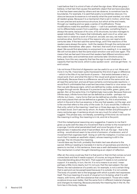I said before that it is a kind of halo of what the sign does. What we grasp, I believe, is that halo that causes the aesthetic object that we have executed, or that has been executed by others and we observe, to somehow lose its boundaries. For example, it is said that poetry is sometimes obscure. It is obscure because its essence is not exactly what the poet wanted, nor what all readers grasp. Because it is a mechanism that is set in motion, which has its own precise and autonomous structure, but which at the end meets, through our reading and our gaze, a series of modifications. Those modifications make this aesthetic object — I call it an aesthetic object so as not to differentiate a poem from a painting—emanates something that is always the same, because of its core, of its structures, but also manages to speak individually. This means that individually, each one of us, when we read a text or observe a work of visual art, we add, we vary, we make it somehow alive. And this is one of the reasons why you can read a book centuries later. If the text said the same things, and if the reactions of the readers were always the same - both the readers through the centuries and the readers themselves after years - that text, that work of art would be dead. We would find absolutely no enjoyment in re-reading it, in re-seeing it. We will not be able to feel the same exact emotion over and over again. This means that we feel each time and that readers feel different emotions each time, years later, and sometimes even centuries later. Emotions arise, I believe, from this very capacity that has the sign to emit shadows or the capacity that has the word, which is also spoken word - and we get there - to emit voices.

I do not know if this kind of digression can be useful to us or not. More and more in my life, I have been quite impressed by this kind of gap or difference – which is the title of my last book of poems – that exists between a text, a visual work of art, and what this text or this visual work gives to each of us individually. Because there is a difference: we all look at the same work, we all read the same text, and we all have certainly commensurate reactions—I would find it unthinkable that a sad text becomes cheerful or vice versa—but then we add. Because signs, which are defined by codes, evoke precise images through words. Because it is precise to say bottle, green, glass, and garden. But, at the same time, it is frighteningly inaccurate. Because there are infinite ways, infinite forms that can be defined as a bottle - perhaps not infinite, but many – many forms that can be defined as a bottle, many forms and many places that can be defined as a garden. So, this is elusiveness, which in the end is the true essence, is the one that speaks, not the sign, and is the one that refers to the unity of the code. Or, if you would like, it refers to that unity, which is the meaning. I read two or three days ago, by chance, in an Arabic book. Don't ask me by whom. An Arabic thinker and philosopher of many centuries ago. A sentence struck me very much for what it may suggest. This phrase was, not literally, something of this kind: do not look for the meaning in writing, the meaning is in ink, and ink is the point.

I find this metaphysical reasoning very suggestive. It seems to me that it gives us quite well the idea of a movement that is similar to the movement of a sponge. It emits what penetrated itself, and once the grip of use is abandoned, it reabsorbs what it had emitted. All in all, the sign - that is the writing - would almost seem to be a kind of emission, of extension, and of movement that organizes itself. Going on with the metaphor, it comes out so much that it creates an aesthetic object, whose meaning is still in the sponge. The ink infuses this meaning.

I would dare say the truth, probably the Arabic text was allusive to the sacred. Without needing to translate it in terms of sacredness and divinity, it seems to me that, in this sentence, there was a well-delineated movement. The mechanism is what I thought interesting as an object of reflection.

After all, the voice could say that it is that point or that ink that comes out and comes back and that it needs support, of course, as long as there is no misunderstanding about this term. That support it needs is not a external support. It is exactly, in turn, the ink. It is not a means to an end. I mean perhaps a little more clearly, but I'm not sure, that the real subject, the real theme, the real substance of a poetic act, for example, is not a certain thing that is said and can be paraphrased because it is outside. It is not outside. The body of a poetic text is the language with which a poetic text expresses itself. The true meaning of a work of visual art is in its being, what it is with means, with forms, with the substance that composed it. Those who make sculpture know even better, that the same form in different material changes and changes its meaning. Because precisely the meaning lies in the ink, the form lies in this body, I believe.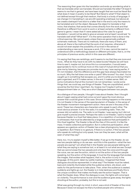The reasoning then goes into the translation and ends up wondering what is that we translate when we translate. Should we translate the letter? At least it seems to me that in general, we have been taught that we must be literal! But what does it mean in poetry to be literal? But literal to what? If that object is not defined except through that medium, that body is a body of language. If we change it in translating it, we are still operating a betrayal, but above all, we create a betrayal if we stick to a letter that in the end is only the means to be translated and not the object. Because the object to translate is that voice, that shadow, that sense that comes directly from the work and that therefore is different from work to work or at least certainly is different from genre to genre. I mean that if I were asked about the rules for a good translation, I would not be able to give an answer and at least I would ask "to translate well what? What text?". It is the same operation that is done in the critical exercise. We cannot apply unless there are generically prefixed schematic methods. There are no methods, there are many of them, and, above all, there is the method that the work of art requires, otherwise it would not even explain the possibility of survival in the sense of understanding a new work, because a work, if it is new, cannot be read or understood with a methodology based on different principles, that is, on the principles of previous works, which in this case are different.

I'm saying that they are ramblings, and it seems to me that they are more and more… What do they have to do with my latest books? Maybe we will have time to see it, maybe not, but since this is a conversation, it would seem appropriate to me to continue more on this road of mutual stimuli that you give me by listening, because you provoke me to say. I was saying earlier, if I'm not mistaken, that this difference and this gap have always fascinated me so much. Why the hell does one write or paint? Who knows? You start. You're caught up in something that escapes you, and it's while you're doing it that it gets organized, and if it makes sense, in the end, it makes sense. Well, on some motivations that at this moment I do not remember, I wrote some things that, we could say, are things of theater. They are unpublished, and it would be the first time I read them. So, forgive me if maybe it will be a disappointment later on. They are a short dialogues between two people.

As a dialogue of two people, I thought it was about theater, then I thought about it again seeing what had come out and I gave the most obvious answer that could be given in this case. Since nothing happens on the scene, it is not theater in the sense of the spectacularism of theater, in the sense of the theater movement-management-action. Here we are in the area of the word. These two characters are characters who speak to each other. The most obvious answer: it is for the radio; it is something radio. Then, the answer did not satisfy me. The radio is not theater, I was saying, but I did not give myself a precise answer. Perhaps the radio is not theater, I said to myself because theater is a ritual that takes place, it is a repetition of something that is witnessed, that must be attended by a large audience that participates in this ritual together. The theater is like all the rites of this world, it is like the mass. It needs collective participation. But in collective participation, what appears as a gesture-action of theater has a clear physiognomy, because it is repetition. But if there is no gesture, if there is no action, if the two people who speak do nothing but only speak, how can they be seen, what will be seen of what they say?

Here, too, I try to explain myself a little better. If we go to the theater, do we see two people talking or do we see—and this is the question—what the two people are saying? I am afraid that in the theater we see people talking and what they are saying is somehow lost, or at least it is not what we see. Except that we cannot erase the two people and only hear the voice and through the voice, we can see the action, which is not the action of the two people speaking, but the action of the language. It must be the language that evokes the images, that evokes what happens, that is, the action is only in the language. At this point, taken by subtle madness, I imagined that these dialogues should be represented. In what way? The theater must be naked, bare and violently illuminated while the audience enters, sits down, and waits for the performance to take place. Then, when the audience is seated, suddenly and lights go out, the theater is in total darkness and finally this is the unique condition that makes me finally see the action happen. That is what the theater does. When the dialogue is over, the lights will come back on violently. The performance is over and the audience goes away, the lights shooting at the author, probably, but this is not said.

What was going through my mind, in short, was a kind of theater of the mind. Because it does not escape me that a hundred people who witness a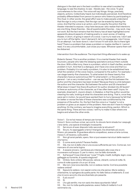dialogue in the dark are in the best condition to see what is evoked by language, to see the shadow, to see - literally see - the voice. To give concreteness to the voice. The voice will say things: things, precisely, objects, actions. Collectively heard, but individually perceived. And therefore probably differentiated from person to person who listens by participating in this ritual. In other words, the great effort was to make people understand that the sign is only a means, that the sign can be erased by leaving the voice. And that the voice is an action, and it is exactly the action that the theater intended to expose. I stop here because I also realize that intentions are one thing, these theories - like all questionable theories - may work, may not work. But the fact remains that this theory has at least highlighted some apparently absurd aspects of making poetry or, even worse, of making theater, in short, of going in search of a voice. I can try to read one. I don't ask you to turn off the lights, I don't demand it, let's not exaggerate. I don't know. It's an attempt. I've never done it. I don't know if it will work. But is there light here? There is a problem that raises a problem or maybe clarifies it: I cannot read, it is very uncomfortable. Just close your eyes. Whoever opens them will be disbarred.

*Intervention from the audience*: The important thing afterward is to wake up.

*Roberto Sanesi*: This is another problem. It is a mental theater that needs bouncers, people who take the sleeping spectators and put them outside the door. With a little irony, there is a problem, which in itself clarifies, another problem in turn. And that is a dialogue, and I have one voice and that is a problem. Probably it is not really a problem, it is also to be established here what the variation of the voice means, compared to the author. For example, I can stage twenty-five characters. To what extent do these twenty-five characters have an autonomous life? To what extent I, or the authors in general - I am a very modest author - can we say that the link between the author and the characters has been broken? Because there is a link between the author and the character. But between the author and 25 characters? What does it mean? Are there 25 authors? An author divided into 25 facets? Is there an autonomy of the character, as it has often been said? Joyce, for example, dreamed it. Joyce's dream, in *Dedalus*, is that the author would be cleaning his nails, looking at what his characters are doing. That is, once they were set in motion, he would have wanted them to hurry because he felt that for better or worse the fate of these characters was conditioned by the presence of the author. So, the fact that the voice is a "maybe" is not a problem or gives us an aspect of the problem. Here we don't have to imagine anything. On the contrary, we have to imagine everything, pardon. Which is the same thing. There are two voices. I will try to make it clear where one begins and where the other ends.

Voice 1: Ce ne hai messo di tempo per tornare.

Voice 2: Sono confuso ormai, sai com'è, ho dovuto farmi strada tra i cespugli, c'era vento, una specie di bisbiglio incessante.

V1: Sei sicuro di aver disposto tutto secondo le istruzioni?

V2: Sicuro, ho appoggiato a terra il triangolo. Era diventato più scuro.

Strano. più pesante. Si guardava attorno sospettoso, aveva un'aria curiosa, messo lì, di traverso, sulle pietre.

V1: Non gli avrai parlato, spero. Non si può essere mai sicuri delle reazioni che hanno.

V2: E come avrei potuto? Faceva freddo.

V1: Già, ma non è detto che si una scusa sufficiente per loro. Come sai, non mancano di una certa logica.

V2: A essere sincero, i sembrava più interessato alle cose che si

muovevano sull'acqua. O, per lo meno, non ha fatto domande. V1: Sull'acqua? Cosa intendi per "cose"? Foglie, insetti, bottiglie, legni, cosa

galleggia sul torrente, di questa stagione?

V2: Ombre. Solo ombre. Minuscole, veloce, vibranti, come di notte. Sì, come di notte quando c'è un po' di luna.

V1: Ma non c'era luna stanotte, non si vedeva niente. Com'era possibile vedere ombre?

V2: Eppure le vedevo. non saprei come ora che penso. Ma le vedevo, chiarissime, lui spingeva da quella parte. Ho fatto fatica a trattenerlo. È così che mi sono accorto che era diventato più pesante.

V1: E più scuro?

V2: Sì.

V2: No, non ho tutta quella pazienza. avevo fretta di metterlo lì e di venirmene via.

V1: L'ho già sentito. ma non sarà che stava spuntando l'alba?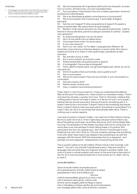### Endnotes

- 1 The dialogue is a transcription from the audio recording. It doesn't follow the same punctuation and spacing of text version written by the author (Editor's note).
- 2 From the book *La Differenza*, Garzanti, Milano 1988.

V2: Ma che importanza ha? A giudicare dall'occhio era tranquillo. ha tirato fuori un occhio, all'improvviso, uno solo e guardava fisso.

V1: Può succedere, l'importante è che non si metta a pascolare. Avremmo problemi se si allontanasse.

V2: Già. e se diventasse quadrato come faremmo a riconoscerlo?

V1: Non è mica questo che mi preoccupa. Ti avrei detto di legarlo, altrimenti.

V2: Sai che non ti seguo? È tutta una questione di rapporti fra spazio e tempo a sentire Max. Ma invece dimmi di quel bisbiglio.

V1: Bambini, molto vecchi secondo me. Una specie di girotondo: "metti la fiamma in bocca alla faina, prendi la scala per scendere in cantina". Questo che cantavano?

- V2: Sì, qualcosa del genere, ma non ha senso.
- V1: Non c'è mai niente che non abbia senso.
- V2: Comunque tirava vento. Ho avuto paura.
- V1: E non c'era nessuno?

V2: Non lo so, non credo. Te l'ho detto. I cespugli erano fittissimi. Mi domando come si faccia a chiamare deserto un posto simile. Non riesci a vedere più al di là di un metro in tutto quell'intrigo, soprattutto se devi strisciare.

- V1: Sai, prende a fuoco a volte.
- V2: Sì e ci sono schianti, scricchiolii a volte.
- V1: Poteva essere Max, da qualche parte, a spiarmi.
- V2: E la fotografia? L'hai portata la fotografia?

V1: Certo, gliel'ho messa sopra, non gli assomigliava per niente, se vuoi la mia opinione.

- V2: Dimmi di quelle ombre sul torrente, erano quelle le voci?
- V1: Non so può essere.

V2: Allora non preoccuparti. Pare che sia normale. O vuoi che andiamo a controllare?

- V1: Che altro dovevo fare?
- V2: Niente niente, va bene così
- V1: Ciao, ci vediamo la primavera prossima? 1

There, that's it. I don't know what it is. I hope you understand the attempt. Well, at this point I've talked a lot. I have a lesson on translation ready...I think I only have ten minutes, a quarter of an hour. That's it. Sincerely, I believe that nothing exists if we do not make it useful, or if we do not use it, so to speak. I believe that we should use poetry, that we should do something with it. It doesn't have to be a monument. It doesn't have to be something that stands there. It doesn't have to have any particularity. Everything is transmitted if it is used. In fact, all I do is to use things that have already been done. There is nothing new in certain aspects.

I can skip my poetry, it doesn't matter. I can read one of them before closing. But if you want me to do it, I'll do it right away, because what I'd like to say about translating could open up another discourse, and it will probably take too long. The temptation of the theater has been with me for a long time, for some years now, and perhaps it's even taking shape in my poems. Not particularly the one I am reading now. I don't know if I should read a more theatrical one, but I don't think so. This one, however, perhaps has something to do with what I have tried to say. Maybe it has something to do with the passage, with the transit. With this elusiveness due to an apparent - and perhaps not even apparent - displacement of everything all the time.

This is a poem called *Le tre del mattino* (*Three o'clock in the morning*). I will read it - You can't, you shouldn't paraphrase poems. They are a body of language, they are what they are, linguistic analysis is another matter. And once it is done, a critical analysis must return to the point that is that point of the ink. So it must recompose itself and it must remain as it is. Well, I will try to read it:

## Le tre del mattino 2

*Verso le tre del mattino la dorsale azzurra di un grande pesce, di trotto, balzò sopra le acque precipitando il nero al di là della porta. Non era nulla di imprevedibile, già più di un anno o due che lo stavamo osservando, l'ultima volta* 

*di fra le canne, piegati, piedi nel fango e calura che ci imbrattava umidosa; perfino gli occhi strisciavano con nostalgia della notte, come le tortore, e sempre*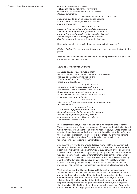*di abbandonare lo scopo, felici e stupefatti che alcuna parola, o riverbero dolce denso, alla maniera di un suono nel sonno, dovesse avvicinarsi.*

 *Le acque restavano assorte, la porta una barriera soltanto un po' più luminosa rispetto a quel deserto di intrichi, e le voci, a distanza, un po' più irresolute.*

 *Ma appena la pinna guizzò nell'aria pesante e vedemmo la luce, la povera luce nostra compagna ritrarsi, e cadere, e l'immenso corpo del nero gettato al di là dello sguardo, più avanti, e non c'era più nulla alle spalle, palude, o collina da attraversare, tutto sembrò, finalmente, inatteso.* 

Here. What should I do now in these ten minutes that I have left?

*Giuliano Collina*: You can read another one and then we leave the floor to the public.

*Roberto Sanesi*: I don't know if I have to read a completely different one. I am uncertain, excuse me a moment.

### Come se fosse una vita, vivendo 3

Era verso qualcosa di semplice, oggetti del tutto naturali, ma di metallo, di pietra, che avessero una loro esistenza irreprensibile contro il balbettare di un acero, o il brivido grigio di uno scoiattolo.

 in qualche modo era verso un inganno organizzato, di forme che avessero nel freddo la sostanza, una specie di silenzi solonne; oppure là sotto la neve, come se fosse una vita, vivendo a tornare precisa in superficie, nel grande brusio; era in queste

misure separate che andavo ricercando qualche indizio di ciò che resta;

 ora morendo è verso la perfezione fuggevole, un'estensione dentro di me di me che faticosamente, tracciando un solo segno per molti percorsi, mi vado a ricercare nel punto in cui la luce addensa l'indecifrabile inverno futuro.

Well, as for this shade, it is mine, it has been mine for some time recently. These are poems from three, four years ago. Since you ask to talk about me, I would not want to give the feeling of being monotonous, as was perhaps the result of these digressions. Perhaps in recent times I have tried to safeguard the ironic aspect that is missing here. I believe that irony is very important and even more important is self-irony. I tried to keep it by looking for some congenial aspects in the translations.

Just to say a few words, and would deserve more - not the translation but the text - on the last book, called *The Hunting for the Snark* is a mock-heroic poem by Lewis Carroll, the author of *Alice in Wonderland*, and is considered a masterpiece of nonsense, irony, mocking, and grotesque. The problem that was posed here, which is very different from the problem that arises when translating Milton or Elliot or others, was fidelity, as always when translating, and the method of translating above all. Why fidelity? Fidelity to what? Fidelity to meaning - it is generally said, with reason. Yes, but what is the meaning of nonsense? i.e. where is this voice to be translated, where is it?

Well, here I believed, unlike the decisions I take in other cases...how to translate a fake? Let's take an example, Chatterton, a poet who died at the age of eighteen in the middle of the eighteenth century, he said that he found some manuscript's fifteenth-century codes. That is to say, it is he who falsified them. He, in the middle of the eighteenth century, made it with a language that apparently belongs to the fifteenth century, but a language that doesn't exist in the fifteenth century because it's clear that it's so aptly heard, mixed with the language of the sixteenth century, of the seventeenth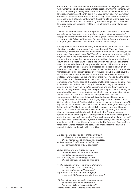century, and with his own. He made a mess and even managed to get away with it, many people believe that a Bristol priest had written these texts... But it is a fake. Already in the eighteenth century, Chatterton wrote with a fake language, imagining a fifteenth-century language that does not exist. How can one in the twentieth century translate an eighteenth-century text that pretends to be a fifteenth-century text? If not trying to be faithful even here to the voice, which is fake, that is literally reconstructing a fake in the Italian language that does not exist. That looks like a fifteenth-century language that is not, like:

*La densata tempesta ormai matura, a grandi gocce il cielo stilla e l'immensa piova fumigina in un velo, su da prati riarsi invade la pianura una spettral fuliggine e toto l'animale s'impaura, tal che lo grege intiero se perde e fugge via lungi le calli. E dalle nubi scroscia l'acqua e fiotta nella gran volta aperta e la folgore gialla e ne svia, caldo vapore ardente entro la vampa* .

It really looks like the Incredible Army of Brancaleone, now that I read it. But the effort is really to adapt every time. Here, the snark. The snark is an imaginary animal upon which the whole mock-heroic poem is divided, as the author says, "an agony in eight fits". Therefore, the poem is an agony in eight fits, and each piece of the poem is a fit. The snark is an animal that never appears, it's not there. But there are some incredible characters who hunt it down. There is a captain who leads these kinds of insane ships to hunt the snark. But...what is the snark? Why is it called a snark? Like all monsters you can't see, there isn't one. Snark is a crossbreed composed in English of snake and shark, that is, snake and shark, or shark and snake. A correct Italian translation should be either "serqualo" or "squarpente". But Carroll says that words are like the trunk for laundry. Carrol wrote this in 1876, when the suitcases were divided. On the one hand, there was linen and on the other hand the clothes, the evening dresses. It was only one trunk with two compartments. And he said: all the words are like that, they are double. Then it depends on mood and personality. If one wants to say quivering and smoky, one day it may incline to "quivering" and one day it may incline to "smoky". If they are absolutely balanced people, they will say "smovering" or something like that. This is a decision for which I have not translated neither "squarpente" nor "serqualo". Because perhaps I have a variable temperament. I did not want to block this variable animal in one name. Saying "serqualo" prevented me from saying "squarpente", and vice versa. So I translated the rest. And here is the nonsense… where is the nonsense? In my opinion, the nonsense was in the chant. It was in the rhythm. The rhythm is the method. That is, if you translate this into prose, I dare say it has no sense, while the nonsense has a sense where you try to stay tied to this slightly obsessive and slightly hallucinatory rhythm. The captain's crazy speech because of the captain...Carroll provided the booklet - this agony in eight fits - even a map for navigation. The map for navigation - I don't know if you can see it - is this one. That is, there is north-south, east, and west, and absolutely nothing else. It is completely empty. The freedom of navigation is total, so the words intersect and pass. The nonsense is in the captain's speech that also explains it, which is not bad:

*Era considerato eccelso quel grande Capitano con l'eterna campana appiccicata in mano: che portamento, che grazia, che naturalezza, e che solennità! È sufficiente rimirarlo in viso per comprenderne l'intima saggezza!* 

*Aveva comperato una mappa del mare dove nemmeno un frammento di terra era dato a qualcuno rintracciare; ma l'equipaggio fu lieto nell'apprendere che era così più semplice da intendere.*

*"A che diavolo servono i Poli di quel Mercatore, e i Tropici e le Zone e i Meridiani, per non parlare poi dell'Equatore," argomentava il Capo a quei sottili ingegni, e loro a lui: "Soltanto convenzioni, puri segni!* 

*"Tutte le altre mappe hanno forme un po' strane con quelle isole e quei promontori! Per questo il Capo li ha tagliati fuori," osannava la ciurma. "Grazie al suo abile fiuto*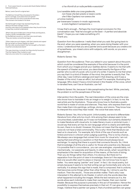4 From Lewis Carroll, *La caccia allo Snark* (Italian Edition) Feltrinelli Editore.

Below, Lewis Carroll's original text:

The Bellman himself they all praised to the skies— Such a carriage, such ease and such grace! Such solemnity too! One could see he was wise, The moment one looked in his face!

He had bought a large map representing the sea, Without the least vestige of land: And the crew were much pleased when they found it to be A map they could all understand.

'What's the good of Mercator's North Poles and Equators, Tropics, Zones, and Meridian Lines?' So the Bellman would cry: and the crew would reply, 'They are merely conventional signs!

'Other maps are such shapes, with their islands and capes! But we've got our brave Captain to thank' (So the crew would protest) 'that he's bought us the best— A perfect and absolute blank!'

This was charming, no doubt: but they shortly found out That the Captain they trusted so well Had only one notion for crossing the ocean,

*ci ha riforniti di un nulla perfetto e assoluto!"*

*La si sarebbe detta una cosa gradevole*, *non fosse che ben presto si resero conto che il fido Capitano non aveva che un'unica nozione per traversare l'oceano in modo ragionevole, e cioè d'agitare il campanone.* 4

I'd say that's enough... Perhaps the most logical conclusion for this conversation was "that he's bought us the best— A perfect and absolute blank!". I hope you can make something of it. Thank you.

*Question from the audience*: I really liked what you said. But going back to the end, when you were speaking, when you were doing theater with your voice, I understood that you are a painter and a poet because you create a lot of synesthesia, you mixed colors with subjects, with words, so you are a draughtsman.

### *Roberto Sanesi*: Yes.

*Question from the audience*: Then you talked in your speech about the point, which could be considered the example of the artist because it is the point from which your images and all your realities derive. It seems to me that with the speech of theater and voice, you described exactly the figure of the painter who is a bit of a poet, who is a bit of a writer. It seems to me that when you say that it is a kind of theater of the mind, the painter is exactly that. The other day, I saw Collina's catalogs and read in that drawing, and it was a theater of the mind, it was an effort, but whose? For example, illustrating the language. Who doesn't have a mind trained in this theater of the voice, which is narrated here, can't be an illustrator, can he?

*Roberto Sanesi*: No, because it risks paraphrasing the text. While, precisely, the problem is not the paraphrase of the text.

*Intervention from the public*: The real interpreters of the voice are the ones who know how to translate it into an image or to weigh it. In fact, to me, the real artists are the illustrators. Those who know how to illustrate a poetic world that is made of voices and silences. They hear, who express them and then make them into paintings, writings, stories, and visions. They know how to interpret this voice they hear inside - the voice that sees nature.

*Roberto Sanesi*: Yes, this is the point. Unfortunately, we tend to differentiate literature from other arts too much. Arts among them always seem to be circumscribed, subdivided, as if it was not forbidden, but certainly disdainful to make literature with visual arts, to make literary music or pictorial music. I would say that every art has its own language which is clearly and definitely its own, there is no doubt. However, this does not mean that the sign and the voice do not have a total commonality. This is why I think that literature can lead us to visual arts. For example, let's think of the use of words such as timbre and tone in criticism when judging a painting. This is not by chance... We always use a language that comes from music for visual arts. I am not saying that everything is a cauldron or that there should always be an exchange. I'm saying that there is a point that connects the arts. So, I think that knowledge of all the arts is useful, for those who practice one. Because it is possible that in concordance, you can use analogies, unpredictably, not mechanically, nor passively and heavily. In other words, what I would like to emphasize is the need for acquisition of the means, of the tools of doing. Then you do things rather than others. It is obvious. But there isn't a separation from the point of view in knowledge, there isn't the separation that one would often want to place or impose. I do not know how to say it better. You were saying "painter" and "poet". In fact, I do visual poetry, but simply because it seems to me that writing can go horizontally and, why not, vertically. It is always this sign that is made, that is composed, that is undone, that becomes some things rather than other things. So, I strive to use the medium. Then the results... Those are another matter. That's why I was interested in this attempt to do theater, in which only the words describe what happened including the images. While the text remains as it is, the words allow each individual to make their own theater, their own mental theater. Because the purpose is precisely in this act of translation. Hence the possibility to express themselves precisely in their art. If I can give a verbal image, I believe that a painter can grasp it, that a hundred painters can grasp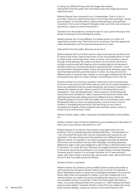it, doing very different things with that image that remains. *Intervention from the public:* Not only that but also the image becomes an additional voice.

*Roberto Sanesi:* Sure, because in turn, it reverberates. That is, in turn, it provokes. There is no painting that does not provoke other paintings. I would say inevitably. On the other hand, I believe that painting is precisely this movement. From a sort of deposit that gets richer and richer and comes out and returns. It goes out and comes back in.

*Question from the audience:* I wanted to ask if in your opinion the sign in the sense of drawing is more limiting than poetry.

*Roberto Sanesi:* No, it's just different. It's neither poorer nor richer. It is organized in another way. That is the word I would say. It has this apparently wider reverberation, but it is narrower because it is a code.

*Intervention from the public:* Because we all use it*.*

*Roberto Sanesi:* But it's not that I want to mean home and say another word. If I want to say home, I have to say home. It is an untouchable piece. If I want to mean home I cannot say hime, hume, or heme. I am forced by a code. In the sign of the drawing, this code is not there. As it is formed, this kind of writing is continuously self-shaping, which evokes objects not because it alludes to them as a word but because it represents them. However, I must say that while it represents them, it does not block them, because, again, the look that observes them puts them back in motion. So, they are only two different ways of using the sign, writing. i.e. once again I believe that the Arab philosopher was right: do not go looking in the writing but look in the ink.

*Giuliano Collina:* If no one has a question I have one, much more technical and much more down to Earth than what you said, but it is about translation. I know two definitions that two poets have given, two artists of translation. I believe that Mallarmé said, "what is poetry? it's that thing that is lost in translations". Then, Bontempelli said, "what is poetry? it is that thing that resists the worst translations". Well, it seems to me that both of them were right because they were talking about two different poems. Mallarmé evidently speaks of a poem that is all matter that is all, precisely, voice, while Bontempelli refers to more conceptual poetry, more of a story, more of content. In translating this last book, this last thing or in any case in translating the English of the nineteenth and twentieth century, which is similar to your environment, I think.

*Roberto Sanesi:* Lately. Lately, I have also translated *Paradise Lost* by Milton,  $SO<sub>2</sub>$ 

*Giuliano Collina:* Here. Of the two definitions, you probably don't like either of them, but in your opinion, they both fit or not?

*Roberto Sanesi:* In my opinion, the problem once again is the one I am avoiding. That is, to always give the ultimate definitions. "The translation is..." "I am convinced that every text must be interpreted and requires its own translation. The same thing cannot be applied to two different texts of a different nature. For example, if you take *La pioggia nel pineto* by Gabriele D'Annunzio and translate it into any other language, including Japanese, Mallarmé is right. In this case, Mallarmé is right. Poetry is that thing that is lost in translation. It is clear. But why? Because *La pioggia nel pineto*'s essence is in the sound. Sound as its substance. It no longer works in another language. However good it may be, it is no longer the same. As if it were raining in Japan with other words in another way, with another noise, with another kind of sound. But if you take a poem by Pavese...

### *Giuliano Collina:* or by Dante

*Roberto Sanesi:* No, Dante is quite incredible. Dante is able to fascinate us with sounds even though he doesn't stand only on sound. For example, in Elliot's *Wasteland*, there is a verse that is the English translation of a verse by Dante. Well, when you translate it in Italian, if you don't realize that it is a verse by Dante, you might end up just translating the meaning. It's not that you translate it wrong. You just say "I didn't think that death had killed so many". It is correct because that's the concept. Or "I didn't believe that there were so many deaths''. However, Dante's words *Ch'io non credea che morte tanta n'avesse disfatta...*it gives you shivers. From what? Not from the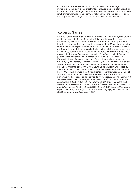concept. Dante is a universe, for which you have concrete things, metaphysical things. It is said that Dante's *Paradiso* is devoid of images. But no. *Paradiso* is full of images different from those of *Inferno*. Dante's *Paradiso* is full of mental images, and *Inferno* is full of earthly images, concrete ones. But they are always images. Therefore, I would say that it depends…

# Roberto Sanesi

Roberto Sanesi (Milan 1930 - Milan 2001) was an Italian art critic, art historian, poet, and essayist. His multifaceted activity was characterized from the beginning by an interest in the translation of American and Anglo-Saxon literature, literary criticism, and contemporary art. In 1957, his attention to the symbiotic relationship between words and art led him to found the Edizioni del Triangolo, a publishing house dedicated to the publication of poems and drawings by contemporary artists. He collaborates with several magazines, among which aut aut (magazine founded by Enzo Paci on which Sanesi publishes the first essays of his career), Inventario, La Fiera Letteraria, L'Approdo, Il Verri, Poesia e critica, and Origini. He translated poems and works by Dylan Thomas, Thomas Stearns Eliot, William Butler Yeats, Conrad Aiken, Christopher Marlowe, Hart Crane, Percy Bysshe Shelley, Archibald MacLeish, William Blake, John Milton, Lewis Carroll, William Shakespeare, Séamus Heaney, Harold Pinter, James Joyce, Vernon Watkins, Walt Whitman. From 1970 to 1975, he was the artistic director of the "International Center of Arts and Costume" of Palazzo Grassi in Venice. He was the author of numerous works in prose and poetry and several essays. Among the many: *Il feroce equilibrio* (1967), *Alterego & altre ipotesi* (1974), *La cosa scritta* (1981), *La differenza* (1988), *Visible* (1991) for poetry, *La polvere e il giaguaro* (1972), *Lettera seconda* (1980) and *Carte di Transito* (1989) for prose and the essays and *Dylan Thomas* (1960), *T. S. Eliot* (1966), *Byron* (1966), *Saggi sul linguaggio organico di Henry Moore* (1977), *Annotazioni sul linguaggio di Hans Richter* (1978), *La trasparenza dell'ombra* (1995).